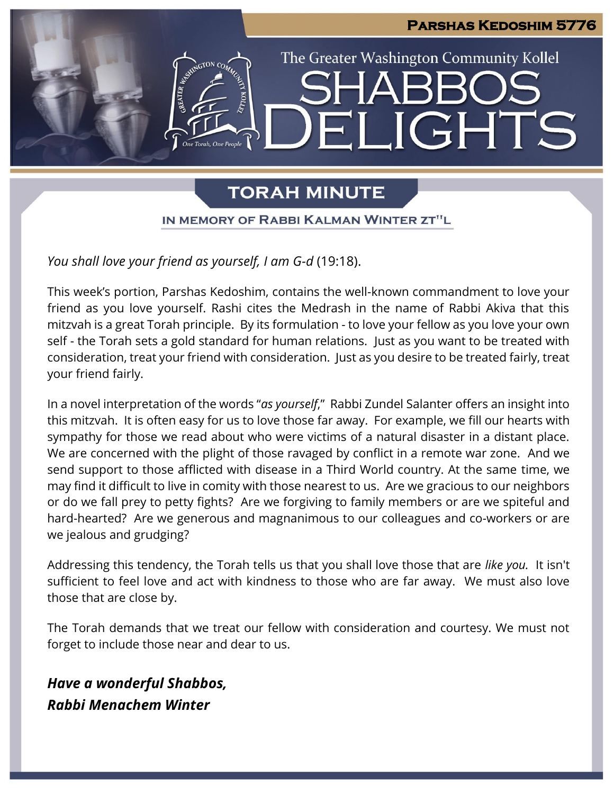

# **TORAH MINUTE**

IN MEMORY OF RABBI KALMAN WINTER ZT"L

### *You shall love your friend as yourself, I am G-d* (19:18).

This week's portion, Parshas Kedoshim, contains the well-known commandment to love your friend as you love yourself. Rashi cites the Medrash in the name of Rabbi Akiva that this mitzvah is a great Torah principle. By its formulation - to love your fellow as you love your own self - the Torah sets a gold standard for human relations. Just as you want to be treated with consideration, treat your friend with consideration. Just as you desire to be treated fairly, treat your friend fairly.

In a novel interpretation of the words "*as yourself*," Rabbi Zundel Salanter offers an insight into this mitzvah. It is often easy for us to love those far away. For example, we fill our hearts with sympathy for those we read about who were victims of a natural disaster in a distant place. We are concerned with the plight of those ravaged by conflict in a remote war zone. And we send support to those afflicted with disease in a Third World country. At the same time, we may find it difficult to live in comity with those nearest to us. Are we gracious to our neighbors or do we fall prey to petty fights? Are we forgiving to family members or are we spiteful and hard-hearted? Are we generous and magnanimous to our colleagues and co-workers or are we jealous and grudging?

Addressing this tendency, the Torah tells us that you shall love those that are *like you.* It isn't sufficient to feel love and act with kindness to those who are far away. We must also love those that are close by.

The Torah demands that we treat our fellow with consideration and courtesy. We must not forget to include those near and dear to us.

*Have a wonderful Shabbos, Rabbi Menachem Winter*